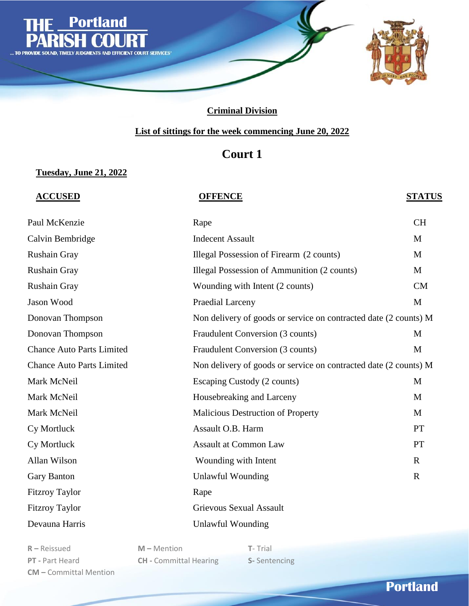

### **List of sittings for the week commencing June 20, 2022**

## **Court 1**

### **Tuesday, June 21, 2022**

### **ACCUSED OFFENCE STATUS**

| Paul McKenzie                    | Rape                                                             | <b>CH</b>   |
|----------------------------------|------------------------------------------------------------------|-------------|
| Calvin Bembridge                 | <b>Indecent Assault</b>                                          | M           |
| Rushain Gray                     | Illegal Possession of Firearm (2 counts)                         | M           |
| Rushain Gray                     | Illegal Possession of Ammunition (2 counts)                      | M           |
| Rushain Gray                     | Wounding with Intent (2 counts)                                  | CM          |
| Jason Wood                       | Praedial Larceny                                                 | M           |
| Donovan Thompson                 | Non delivery of goods or service on contracted date (2 counts) M |             |
| Donovan Thompson                 | Fraudulent Conversion (3 counts)                                 | M           |
| <b>Chance Auto Parts Limited</b> | Fraudulent Conversion (3 counts)                                 | M           |
| <b>Chance Auto Parts Limited</b> | Non delivery of goods or service on contracted date (2 counts) M |             |
| Mark McNeil                      | Escaping Custody (2 counts)                                      | M           |
| Mark McNeil                      | Housebreaking and Larceny                                        | M           |
| Mark McNeil                      | Malicious Destruction of Property                                | M           |
| Cy Mortluck                      | Assault O.B. Harm                                                | <b>PT</b>   |
| Cy Mortluck                      | <b>Assault at Common Law</b>                                     | <b>PT</b>   |
| Allan Wilson                     | Wounding with Intent                                             | $\mathbf R$ |
| Gary Banton                      | <b>Unlawful Wounding</b>                                         | $\mathbf R$ |
| <b>Fitzroy Taylor</b>            | Rape                                                             |             |
| <b>Fitzroy Taylor</b>            | <b>Grievous Sexual Assault</b>                                   |             |
| Devauna Harris                   | <b>Unlawful Wounding</b>                                         |             |

**R –** Reissued **M –** Mention **T**- Trial **CM –** Committal Mention

**PT -** Part Heard **CH -** Committal Hearing **S-** Sentencing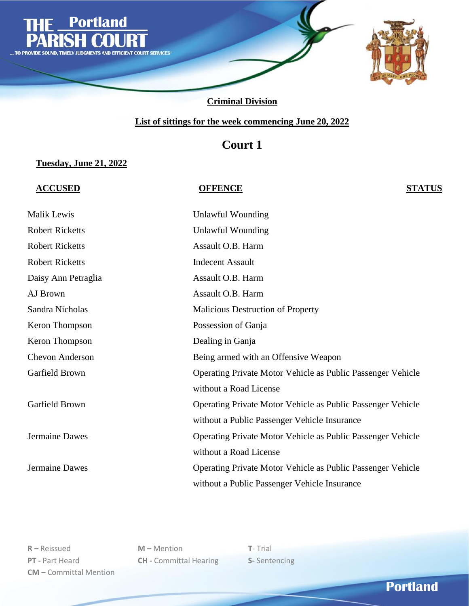

### **List of sittings for the week commencing June 20, 2022**

## **Court 1**

### **Tuesday, June 21, 2022**

### **ACCUSED OFFENCE STATUS**

| Malik Lewis            | Unlawful Wounding                                                  |
|------------------------|--------------------------------------------------------------------|
| <b>Robert Ricketts</b> | Unlawful Wounding                                                  |
| <b>Robert Ricketts</b> | Assault O.B. Harm                                                  |
| <b>Robert Ricketts</b> | <b>Indecent Assault</b>                                            |
| Daisy Ann Petraglia    | Assault O.B. Harm                                                  |
| AJ Brown               | Assault O.B. Harm                                                  |
| Sandra Nicholas        | <b>Malicious Destruction of Property</b>                           |
| Keron Thompson         | Possession of Ganja                                                |
| Keron Thompson         | Dealing in Ganja                                                   |
| <b>Chevon Anderson</b> | Being armed with an Offensive Weapon                               |
| Garfield Brown         | <b>Operating Private Motor Vehicle as Public Passenger Vehicle</b> |
|                        | without a Road License                                             |
| Garfield Brown         | Operating Private Motor Vehicle as Public Passenger Vehicle        |
|                        | without a Public Passenger Vehicle Insurance                       |
| Jermaine Dawes         | <b>Operating Private Motor Vehicle as Public Passenger Vehicle</b> |
|                        | without a Road License                                             |
| Jermaine Dawes         | <b>Operating Private Motor Vehicle as Public Passenger Vehicle</b> |
|                        | without a Public Passenger Vehicle Insurance                       |

**R –** Reissued **M –** Mention **T**- Trial **PT -** Part Heard **CH -** Committal Hearing **S-** Sentencing **CM –** Committal Mention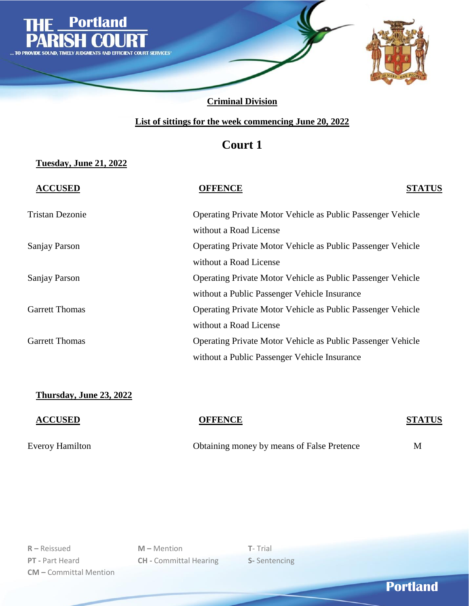

### **List of sittings for the week commencing June 20, 2022**

## **Court 1**

### **Tuesday, June 21, 2022**

| <b>ACCUSED</b>         | <b>OFFENCE</b>                                                     | <b>STATUS</b> |
|------------------------|--------------------------------------------------------------------|---------------|
| <b>Tristan Dezonie</b> | <b>Operating Private Motor Vehicle as Public Passenger Vehicle</b> |               |
|                        | without a Road License                                             |               |
| Sanjay Parson          | <b>Operating Private Motor Vehicle as Public Passenger Vehicle</b> |               |
|                        | without a Road License                                             |               |
| Sanjay Parson          | <b>Operating Private Motor Vehicle as Public Passenger Vehicle</b> |               |
|                        | without a Public Passenger Vehicle Insurance                       |               |
| <b>Garrett Thomas</b>  | <b>Operating Private Motor Vehicle as Public Passenger Vehicle</b> |               |
|                        | without a Road License                                             |               |
| <b>Garrett Thomas</b>  | <b>Operating Private Motor Vehicle as Public Passenger Vehicle</b> |               |
|                        | without a Public Passenger Vehicle Insurance                       |               |

### **Thursday, June 23, 2022**

# **ACCUSED OFFENCE STATUS** Everoy Hamilton Obtaining money by means of False Pretence M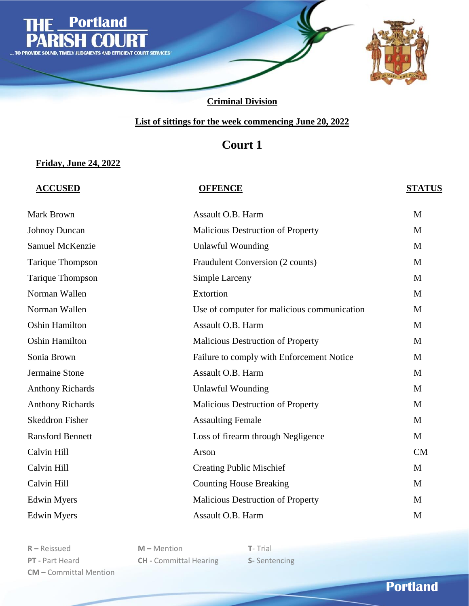

### **List of sittings for the week commencing June 20, 2022**

## **Court 1**

### **Friday, June 24, 2022**

### **ACCUSED OFFENCE STATUS**

| Mark Brown              | Assault O.B. Harm                           | M         |
|-------------------------|---------------------------------------------|-----------|
| <b>Johnoy Duncan</b>    | Malicious Destruction of Property           | M         |
| Samuel McKenzie         | <b>Unlawful Wounding</b>                    | M         |
| Tarique Thompson        | Fraudulent Conversion (2 counts)            | M         |
| Tarique Thompson        | Simple Larceny                              | M         |
| Norman Wallen           | Extortion                                   | M         |
| Norman Wallen           | Use of computer for malicious communication | M         |
| <b>Oshin Hamilton</b>   | Assault O.B. Harm                           | M         |
| <b>Oshin Hamilton</b>   | Malicious Destruction of Property           | M         |
| Sonia Brown             | Failure to comply with Enforcement Notice   | M         |
| Jermaine Stone          | Assault O.B. Harm                           | M         |
| <b>Anthony Richards</b> | <b>Unlawful Wounding</b>                    | M         |
| <b>Anthony Richards</b> | Malicious Destruction of Property           | M         |
| <b>Skeddron Fisher</b>  | <b>Assaulting Female</b>                    | M         |
| <b>Ransford Bennett</b> | Loss of firearm through Negligence          | M         |
| Calvin Hill             | Arson                                       | <b>CM</b> |
| Calvin Hill             | <b>Creating Public Mischief</b>             | M         |
| Calvin Hill             | <b>Counting House Breaking</b>              | M         |
| <b>Edwin Myers</b>      | Malicious Destruction of Property           | M         |
| <b>Edwin Myers</b>      | Assault O.B. Harm                           | M         |

**R –** Reissued **M –** Mention **T**- Trial **PT -** Part Heard **CH -** Committal Hearing **S-** Sentencing **CM –** Committal Mention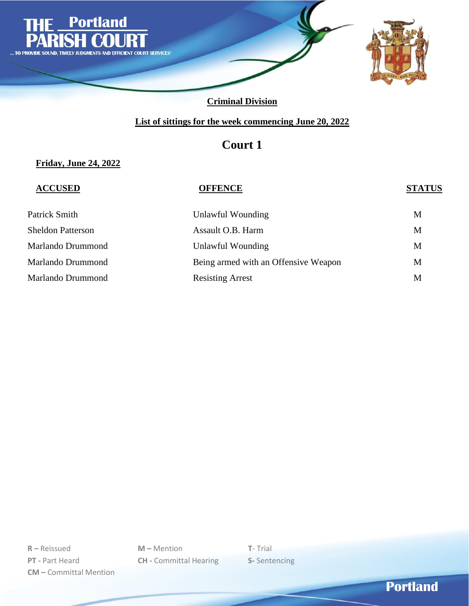

### **List of sittings for the week commencing June 20, 2022**

## **Court 1**

### **Friday, June 24, 2022**

| <b>ACCUSED</b>           | <b>OFFENCE</b>                       | <b>STATUS</b> |
|--------------------------|--------------------------------------|---------------|
| Patrick Smith            | Unlawful Wounding                    | M             |
| <b>Sheldon Patterson</b> | Assault O.B. Harm                    | M             |
| Marlando Drummond        | Unlawful Wounding                    | M             |
| Marlando Drummond        | Being armed with an Offensive Weapon | M             |
| Marlando Drummond        | <b>Resisting Arrest</b>              | M             |

**R –** Reissued **M –** Mention **T**- Trial **PT -** Part Heard **CH -** Committal Hearing **S-** Sentencing **CM –** Committal Mention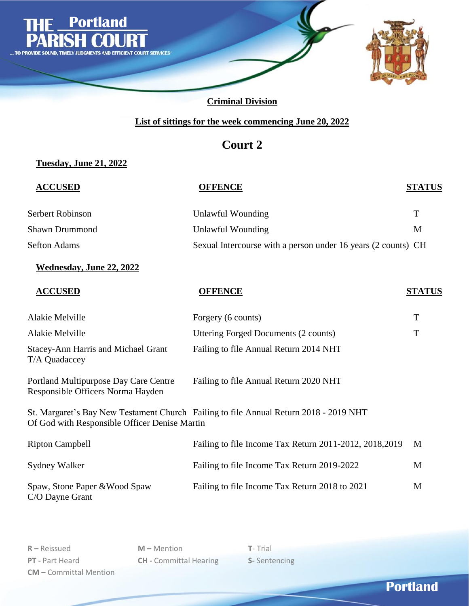

### **List of sittings for the week commencing June 20, 2022**

## **Court 2**

### **Tuesday, June 21, 2022**

| <b>ACCUSED</b>                                                             | <b>OFFENCE</b>                                                                        | <b>STATUS</b> |
|----------------------------------------------------------------------------|---------------------------------------------------------------------------------------|---------------|
| Serbert Robinson                                                           | <b>Unlawful Wounding</b>                                                              | T             |
| <b>Shawn Drummond</b>                                                      | <b>Unlawful Wounding</b>                                                              | M             |
| <b>Sefton Adams</b>                                                        | Sexual Intercourse with a person under 16 years (2 counts) CH                         |               |
| Wednesday, June 22, 2022                                                   |                                                                                       |               |
| <b>ACCUSED</b>                                                             | <b>OFFENCE</b>                                                                        | <b>STATUS</b> |
| Alakie Melville                                                            | Forgery (6 counts)                                                                    | T             |
| Alakie Melville                                                            | <b>Uttering Forged Documents (2 counts)</b>                                           | T             |
| <b>Stacey-Ann Harris and Michael Grant</b><br>T/A Quadaccey                | Failing to file Annual Return 2014 NHT                                                |               |
| Portland Multipurpose Day Care Centre<br>Responsible Officers Norma Hayden | Failing to file Annual Return 2020 NHT                                                |               |
| Of God with Responsible Officer Denise Martin                              | St. Margaret's Bay New Testament Church Failing to file Annual Return 2018 - 2019 NHT |               |
| <b>Ripton Campbell</b>                                                     | Failing to file Income Tax Return 2011-2012, 2018, 2019                               | M             |
| <b>Sydney Walker</b>                                                       | Failing to file Income Tax Return 2019-2022                                           | M             |
| Spaw, Stone Paper & Wood Spaw<br>C/O Dayne Grant                           | Failing to file Income Tax Return 2018 to 2021                                        | M             |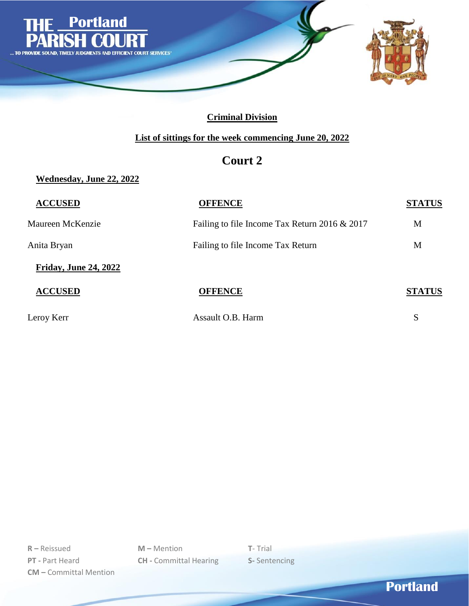

### **List of sittings for the week commencing June 20, 2022**

## **Court 2**

**Wednesday, June 22, 2022**

| <b>ACCUSED</b>               | <b>OFFENCE</b>                                  | <b>STATUS</b> |
|------------------------------|-------------------------------------------------|---------------|
| Maureen McKenzie             | Failing to file Income Tax Return 2016 $& 2017$ | M             |
| Anita Bryan                  | Failing to file Income Tax Return               | M             |
| <b>Friday, June 24, 2022</b> |                                                 |               |
| <b>ACCUSED</b>               | <b>OFFENCE</b>                                  | <b>STATUS</b> |
| Leroy Kerr                   | Assault O.B. Harm                               | S             |

**R –** Reissued **M –** Mention **T**- Trial **PT -** Part Heard **CH -** Committal Hearing **S-** Sentencing **CM –** Committal Mention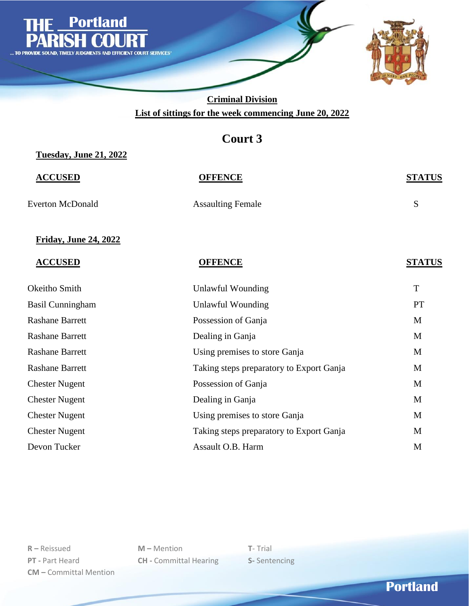

**Criminal Division List of sittings for the week commencing June 20, 2022**

## **Court 3**

**Tuesday, June 21, 2022**

**ACCUSED OFFENCE STATUS** Everton McDonald Assaulting Female S

### **Friday, June 24, 2022**

| <b>ACCUSED</b>          | <b>OFFENCE</b>                           | <b>STATUS</b> |
|-------------------------|------------------------------------------|---------------|
| Okeitho Smith           | Unlawful Wounding                        | T             |
| <b>Basil Cunningham</b> | Unlawful Wounding                        | PT            |
| <b>Rashane Barrett</b>  | Possession of Ganja                      | M             |
| <b>Rashane Barrett</b>  | Dealing in Ganja                         | M             |
| <b>Rashane Barrett</b>  | Using premises to store Ganja            | M             |
| <b>Rashane Barrett</b>  | Taking steps preparatory to Export Ganja | M             |
| <b>Chester Nugent</b>   | Possession of Ganja                      | M             |
| <b>Chester Nugent</b>   | Dealing in Ganja                         | M             |
| <b>Chester Nugent</b>   | Using premises to store Ganja            | M             |
| <b>Chester Nugent</b>   | Taking steps preparatory to Export Ganja | M             |
| Devon Tucker            | Assault O.B. Harm                        | M             |

**R –** Reissued **M –** Mention **T**- Trial **PT -** Part Heard **CH -** Committal Hearing **S-** Sentencing **CM –** Committal Mention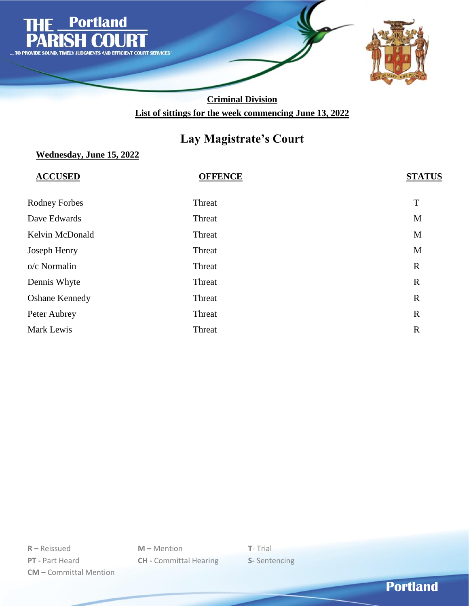

### **Criminal Division List of sittings for the week commencing June 13, 2022**

## **Lay Magistrate's Court**

### **Wednesday, June 15, 2022**

| <b>ACCUSED</b>        | <b>OFFENCE</b> | <b>STATUS</b> |
|-----------------------|----------------|---------------|
| <b>Rodney Forbes</b>  | Threat         | $\mathbf T$   |
| Dave Edwards          | Threat         | M             |
| Kelvin McDonald       | Threat         | $\mathbf M$   |
| Joseph Henry          | Threat         | M             |
| o/c Normalin          | Threat         | $\mathbb{R}$  |
| Dennis Whyte          | Threat         | $\mathbf R$   |
| <b>Oshane Kennedy</b> | Threat         | $\mathbb{R}$  |
| Peter Aubrey          | Threat         | $\mathbf R$   |
| Mark Lewis            | Threat         | $\mathbf R$   |

**R –** Reissued **M –** Mention **T**- Trial **PT -** Part Heard **CH -** Committal Hearing **S-** Sentencing **CM –** Committal Mention